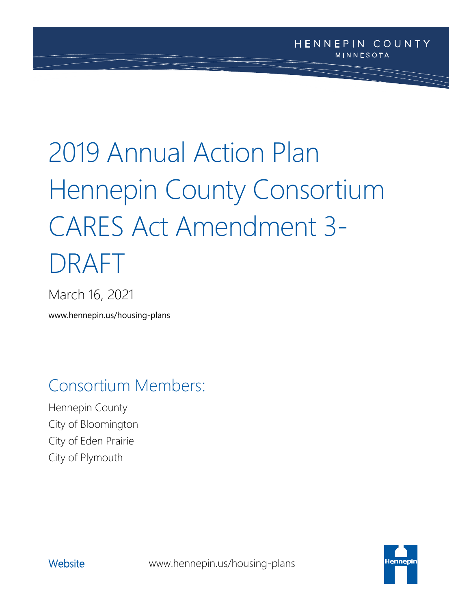# 2019 Annual Action Plan Hennepin County Consortium CARES Act Amendment 3- DRAFT

March 16, 2021

www.hennepin.us/housing-plans

# Consortium Members:

Hennepin County City of Bloomington City of Eden Prairie City of Plymouth



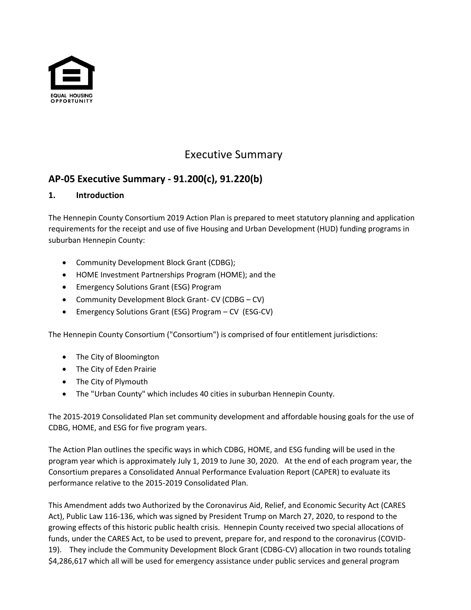

# Executive Summary

# **AP-05 Executive Summary - 91.200(c), 91.220(b)**

#### **1. Introduction**

The Hennepin County Consortium 2019 Action Plan is prepared to meet statutory planning and application requirements for the receipt and use of five Housing and Urban Development (HUD) funding programs in suburban Hennepin County:

- Community Development Block Grant (CDBG);
- HOME Investment Partnerships Program (HOME); and the
- Emergency Solutions Grant (ESG) Program
- Community Development Block Grant- CV (CDBG CV)
- Emergency Solutions Grant (ESG) Program CV (ESG-CV)

The Hennepin County Consortium ("Consortium") is comprised of four entitlement jurisdictions:

- The City of Bloomington
- The City of Eden Prairie
- The City of Plymouth
- The "Urban County" which includes 40 cities in suburban Hennepin County.

The 2015-2019 Consolidated Plan set community development and affordable housing goals for the use of CDBG, HOME, and ESG for five program years.

The Action Plan outlines the specific ways in which CDBG, HOME, and ESG funding will be used in the program year which is approximately July 1, 2019 to June 30, 2020. At the end of each program year, the Consortium prepares a Consolidated Annual Performance Evaluation Report (CAPER) to evaluate its performance relative to the 2015-2019 Consolidated Plan.

This Amendment adds two Authorized by the Coronavirus Aid, Relief, and Economic Security Act (CARES Act), Public Law 116-136, which was signed by President Trump on March 27, 2020, to respond to the growing effects of this historic public health crisis. Hennepin County received two special allocations of funds, under the CARES Act, to be used to prevent, prepare for, and respond to the coronavirus (COVID-19). They include the Community Development Block Grant (CDBG-CV) allocation in two rounds totaling \$4,286,617 which all will be used for emergency assistance under public services and general program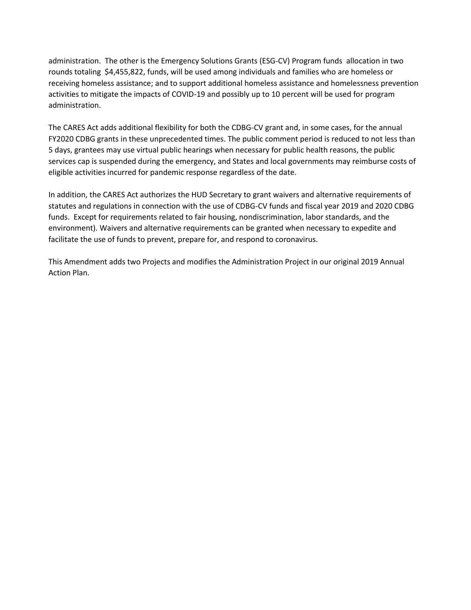administration. The other is the Emergency Solutions Grants (ESG-CV) Program funds allocation in two rounds totaling \$4,455,822, funds, will be used among individuals and families who are homeless or receiving homeless assistance; and to support additional homeless assistance and homelessness prevention activities to mitigate the impacts of COVID-19 and possibly up to 10 percent will be used for program administration.

The CARES Act adds additional flexibility for both the CDBG-CV grant and, in some cases, for the annual FY2020 CDBG grants in these unprecedented times. The public comment period is reduced to not less than 5 days, grantees may use virtual public hearings when necessary for public health reasons, the public services cap is suspended during the emergency, and States and local governments may reimburse costs of eligible activities incurred for pandemic response regardless of the date.

In addition, the CARES Act authorizes the HUD Secretary to grant waivers and alternative requirements of statutes and regulations in connection with the use of CDBG-CV funds and fiscal year 2019 and 2020 CDBG funds. Except for requirements related to fair housing, nondiscrimination, labor standards, and the environment). Waivers and alternative requirements can be granted when necessary to expedite and facilitate the use of funds to prevent, prepare for, and respond to coronavirus.

This Amendment adds two Projects and modifies the Administration Project in our original 2019 Annual Action Plan.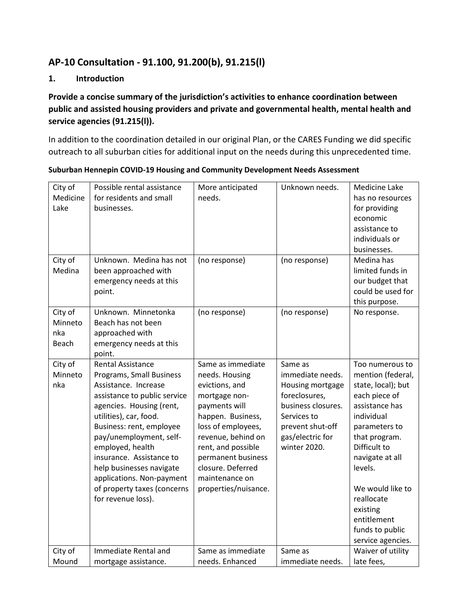### **AP-10 Consultation - 91.100, 91.200(b), 91.215(l)**

#### **1. Introduction**

#### **Provide a concise summary of the jurisdiction's activities to enhance coordination between public and assisted housing providers and private and governmental health, mental health and service agencies (91.215(l)).**

In addition to the coordination detailed in our original Plan, or the CARES Funding we did specific outreach to all suburban cities for additional input on the needs during this unprecedented time.

| City of<br>Medicine<br>Lake        | Possible rental assistance<br>for residents and small<br>businesses.                                                                                                                                                                                                                                                                                                                    | More anticipated<br>needs.                                                                                                                                                                                                                                          | Unknown needs.                                                                                                                                                | Medicine Lake<br>has no resources<br>for providing<br>economic<br>assistance to<br>individuals or<br>businesses.                                                                                                                                                                                 |
|------------------------------------|-----------------------------------------------------------------------------------------------------------------------------------------------------------------------------------------------------------------------------------------------------------------------------------------------------------------------------------------------------------------------------------------|---------------------------------------------------------------------------------------------------------------------------------------------------------------------------------------------------------------------------------------------------------------------|---------------------------------------------------------------------------------------------------------------------------------------------------------------|--------------------------------------------------------------------------------------------------------------------------------------------------------------------------------------------------------------------------------------------------------------------------------------------------|
| City of<br>Medina                  | Unknown. Medina has not<br>been approached with<br>emergency needs at this<br>point.                                                                                                                                                                                                                                                                                                    | (no response)                                                                                                                                                                                                                                                       | (no response)                                                                                                                                                 | Medina has<br>limited funds in<br>our budget that<br>could be used for<br>this purpose.                                                                                                                                                                                                          |
| City of<br>Minneto<br>nka<br>Beach | Unknown. Minnetonka<br>Beach has not been<br>approached with<br>emergency needs at this<br>point.                                                                                                                                                                                                                                                                                       | (no response)                                                                                                                                                                                                                                                       | (no response)                                                                                                                                                 | No response.                                                                                                                                                                                                                                                                                     |
| City of<br>Minneto<br>nka          | <b>Rental Assistance</b><br>Programs, Small Business<br>Assistance, Increase<br>assistance to public service<br>agencies. Housing (rent,<br>utilities), car, food.<br>Business: rent, employee<br>pay/unemployment, self-<br>employed, health<br>insurance. Assistance to<br>help businesses navigate<br>applications. Non-payment<br>of property taxes (concerns<br>for revenue loss). | Same as immediate<br>needs. Housing<br>evictions, and<br>mortgage non-<br>payments will<br>happen. Business,<br>loss of employees,<br>revenue, behind on<br>rent, and possible<br>permanent business<br>closure. Deferred<br>maintenance on<br>properties/nuisance. | Same as<br>immediate needs.<br>Housing mortgage<br>foreclosures,<br>business closures.<br>Services to<br>prevent shut-off<br>gas/electric for<br>winter 2020. | Too numerous to<br>mention (federal,<br>state, local); but<br>each piece of<br>assistance has<br>individual<br>parameters to<br>that program.<br>Difficult to<br>navigate at all<br>levels.<br>We would like to<br>reallocate<br>existing<br>entitlement<br>funds to public<br>service agencies. |
| City of<br>Mound                   | Immediate Rental and<br>mortgage assistance.                                                                                                                                                                                                                                                                                                                                            | Same as immediate<br>needs. Enhanced                                                                                                                                                                                                                                | Same as<br>immediate needs.                                                                                                                                   | Waiver of utility<br>late fees,                                                                                                                                                                                                                                                                  |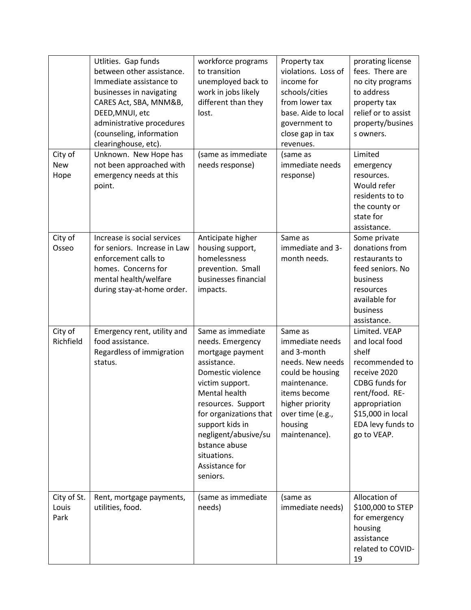|                               | Utlities. Gap funds<br>between other assistance.<br>Immediate assistance to<br>businesses in navigating<br>CARES Act, SBA, MNM&B,<br>DEED, MNUI, etc<br>administrative procedures<br>(counseling, information<br>clearinghouse, etc). | workforce programs<br>to transition<br>unemployed back to<br>work in jobs likely<br>different than they<br>lost.                                                                                                                                                                                  | Property tax<br>violations. Loss of<br>income for<br>schools/cities<br>from lower tax<br>base. Aide to local<br>government to<br>close gap in tax<br>revenues.                       | prorating license<br>fees. There are<br>no city programs<br>to address<br>property tax<br>relief or to assist<br>property/busines<br>s owners.                                           |
|-------------------------------|---------------------------------------------------------------------------------------------------------------------------------------------------------------------------------------------------------------------------------------|---------------------------------------------------------------------------------------------------------------------------------------------------------------------------------------------------------------------------------------------------------------------------------------------------|--------------------------------------------------------------------------------------------------------------------------------------------------------------------------------------|------------------------------------------------------------------------------------------------------------------------------------------------------------------------------------------|
| City of<br><b>New</b><br>Hope | Unknown. New Hope has<br>not been approached with<br>emergency needs at this<br>point.                                                                                                                                                | (same as immediate<br>needs response)                                                                                                                                                                                                                                                             | (same as<br>immediate needs<br>response)                                                                                                                                             | Limited<br>emergency<br>resources.<br>Would refer<br>residents to to<br>the county or<br>state for<br>assistance.                                                                        |
| City of<br>Osseo              | Increase is social services<br>for seniors. Increase in Law<br>enforcement calls to<br>homes. Concerns for<br>mental health/welfare<br>during stay-at-home order.                                                                     | Anticipate higher<br>housing support,<br>homelessness<br>prevention. Small<br>businesses financial<br>impacts.                                                                                                                                                                                    | Same as<br>immediate and 3-<br>month needs.                                                                                                                                          | Some private<br>donations from<br>restaurants to<br>feed seniors. No<br>business<br>resources<br>available for<br>business<br>assistance.                                                |
| City of<br>Richfield          | Emergency rent, utility and<br>food assistance.<br>Regardless of immigration<br>status.                                                                                                                                               | Same as immediate<br>needs. Emergency<br>mortgage payment<br>assistance.<br>Domestic violence<br>victim support.<br><b>Mental health</b><br>resources. Support<br>for organizations that<br>support kids in<br>negligent/abusive/su<br>bstance abuse<br>situations.<br>Assistance for<br>seniors. | Same as<br>immediate needs<br>and 3-month<br>needs. New needs<br>could be housing<br>maintenance.<br>items become<br>higher priority<br>over time (e.g.,<br>housing<br>maintenance). | Limited. VEAP<br>and local food<br>shelf<br>recommended to<br>receive 2020<br>CDBG funds for<br>rent/food. RE-<br>appropriation<br>\$15,000 in local<br>EDA levy funds to<br>go to VEAP. |
| City of St.<br>Louis<br>Park  | Rent, mortgage payments,<br>utilities, food.                                                                                                                                                                                          | (same as immediate<br>needs)                                                                                                                                                                                                                                                                      | (same as<br>immediate needs)                                                                                                                                                         | Allocation of<br>\$100,000 to STEP<br>for emergency<br>housing<br>assistance<br>related to COVID-<br>19                                                                                  |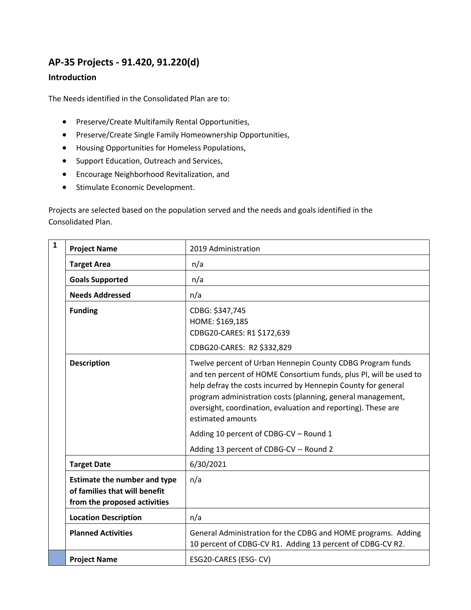## **AP-35 Projects - 91.420, 91.220(d)**

#### **Introduction**

The Needs identified in the Consolidated Plan are to:

- Preserve/Create Multifamily Rental Opportunities,
- Preserve/Create Single Family Homeownership Opportunities,
- Housing Opportunities for Homeless Populations,
- Support Education, Outreach and Services,
- Encourage Neighborhood Revitalization, and
- Stimulate Economic Development.

Projects are selected based on the population served and the needs and goals identified in the Consolidated Plan.

| $\mathbf{1}$ | <b>Project Name</b>                                                                                  | 2019 Administration                                                                                                                                                                                                                                                                                                                                    |  |  |
|--------------|------------------------------------------------------------------------------------------------------|--------------------------------------------------------------------------------------------------------------------------------------------------------------------------------------------------------------------------------------------------------------------------------------------------------------------------------------------------------|--|--|
|              | <b>Target Area</b>                                                                                   | n/a                                                                                                                                                                                                                                                                                                                                                    |  |  |
|              | <b>Goals Supported</b>                                                                               | n/a                                                                                                                                                                                                                                                                                                                                                    |  |  |
|              | <b>Needs Addressed</b>                                                                               | n/a                                                                                                                                                                                                                                                                                                                                                    |  |  |
|              | <b>Funding</b>                                                                                       | CDBG: \$347,745<br>HOME: \$169,185<br>CDBG20-CARES: R1 \$172,639<br>CDBG20-CARES: R2 \$332,829                                                                                                                                                                                                                                                         |  |  |
|              | <b>Description</b>                                                                                   | Twelve percent of Urban Hennepin County CDBG Program funds<br>and ten percent of HOME Consortium funds, plus PI, will be used to<br>help defray the costs incurred by Hennepin County for general<br>program administration costs (planning, general management,<br>oversight, coordination, evaluation and reporting). These are<br>estimated amounts |  |  |
|              |                                                                                                      | Adding 10 percent of CDBG-CV - Round 1                                                                                                                                                                                                                                                                                                                 |  |  |
|              |                                                                                                      | Adding 13 percent of CDBG-CV -- Round 2                                                                                                                                                                                                                                                                                                                |  |  |
|              | <b>Target Date</b>                                                                                   | 6/30/2021                                                                                                                                                                                                                                                                                                                                              |  |  |
|              | <b>Estimate the number and type</b><br>of families that will benefit<br>from the proposed activities | n/a                                                                                                                                                                                                                                                                                                                                                    |  |  |
|              | <b>Location Description</b>                                                                          | n/a                                                                                                                                                                                                                                                                                                                                                    |  |  |
|              | <b>Planned Activities</b>                                                                            | General Administration for the CDBG and HOME programs. Adding<br>10 percent of CDBG-CV R1. Adding 13 percent of CDBG-CV R2.                                                                                                                                                                                                                            |  |  |
|              | <b>Project Name</b>                                                                                  | ESG20-CARES (ESG- CV)                                                                                                                                                                                                                                                                                                                                  |  |  |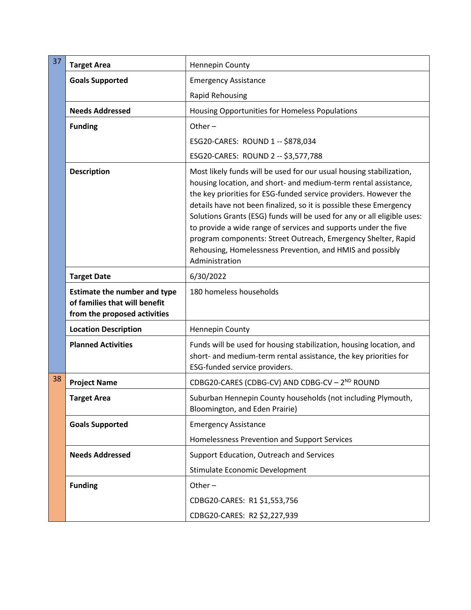| 37 | <b>Target Area</b>                                                                                   | Hennepin County                                                                                                                                                                                                                                                                                                                                                                                                                                                                                                                                                                |  |
|----|------------------------------------------------------------------------------------------------------|--------------------------------------------------------------------------------------------------------------------------------------------------------------------------------------------------------------------------------------------------------------------------------------------------------------------------------------------------------------------------------------------------------------------------------------------------------------------------------------------------------------------------------------------------------------------------------|--|
|    | <b>Goals Supported</b>                                                                               | <b>Emergency Assistance</b>                                                                                                                                                                                                                                                                                                                                                                                                                                                                                                                                                    |  |
|    |                                                                                                      | Rapid Rehousing                                                                                                                                                                                                                                                                                                                                                                                                                                                                                                                                                                |  |
|    | <b>Needs Addressed</b>                                                                               | Housing Opportunities for Homeless Populations                                                                                                                                                                                                                                                                                                                                                                                                                                                                                                                                 |  |
|    | <b>Funding</b>                                                                                       | Other $-$                                                                                                                                                                                                                                                                                                                                                                                                                                                                                                                                                                      |  |
|    |                                                                                                      | ESG20-CARES: ROUND 1 -- \$878,034                                                                                                                                                                                                                                                                                                                                                                                                                                                                                                                                              |  |
|    |                                                                                                      | ESG20-CARES: ROUND 2 -- \$3,577,788                                                                                                                                                                                                                                                                                                                                                                                                                                                                                                                                            |  |
|    | <b>Description</b>                                                                                   | Most likely funds will be used for our usual housing stabilization,<br>housing location, and short- and medium-term rental assistance,<br>the key priorities for ESG-funded service providers. However the<br>details have not been finalized, so it is possible these Emergency<br>Solutions Grants (ESG) funds will be used for any or all eligible uses:<br>to provide a wide range of services and supports under the five<br>program components: Street Outreach, Emergency Shelter, Rapid<br>Rehousing, Homelessness Prevention, and HMIS and possibly<br>Administration |  |
|    | <b>Target Date</b>                                                                                   | 6/30/2022                                                                                                                                                                                                                                                                                                                                                                                                                                                                                                                                                                      |  |
|    | <b>Estimate the number and type</b><br>of families that will benefit<br>from the proposed activities | 180 homeless households                                                                                                                                                                                                                                                                                                                                                                                                                                                                                                                                                        |  |
|    | <b>Location Description</b>                                                                          | Hennepin County                                                                                                                                                                                                                                                                                                                                                                                                                                                                                                                                                                |  |
|    | <b>Planned Activities</b>                                                                            | Funds will be used for housing stabilization, housing location, and<br>short- and medium-term rental assistance, the key priorities for<br>ESG-funded service providers.                                                                                                                                                                                                                                                                                                                                                                                                       |  |
| 38 | <b>Project Name</b>                                                                                  | CDBG20-CARES (CDBG-CV) AND CDBG-CV - 2 <sup>ND</sup> ROUND                                                                                                                                                                                                                                                                                                                                                                                                                                                                                                                     |  |
|    | <b>Target Area</b>                                                                                   | Suburban Hennepin County households (not including Plymouth,<br>Bloomington, and Eden Prairie)                                                                                                                                                                                                                                                                                                                                                                                                                                                                                 |  |
|    | <b>Goals Supported</b>                                                                               | <b>Emergency Assistance</b>                                                                                                                                                                                                                                                                                                                                                                                                                                                                                                                                                    |  |
|    |                                                                                                      | Homelessness Prevention and Support Services                                                                                                                                                                                                                                                                                                                                                                                                                                                                                                                                   |  |
|    | <b>Needs Addressed</b>                                                                               | Support Education, Outreach and Services                                                                                                                                                                                                                                                                                                                                                                                                                                                                                                                                       |  |
|    |                                                                                                      | Stimulate Economic Development                                                                                                                                                                                                                                                                                                                                                                                                                                                                                                                                                 |  |
|    | <b>Funding</b>                                                                                       | Other $-$                                                                                                                                                                                                                                                                                                                                                                                                                                                                                                                                                                      |  |
|    |                                                                                                      | CDBG20-CARES: R1 \$1,553,756                                                                                                                                                                                                                                                                                                                                                                                                                                                                                                                                                   |  |
|    |                                                                                                      | CDBG20-CARES: R2 \$2,227,939                                                                                                                                                                                                                                                                                                                                                                                                                                                                                                                                                   |  |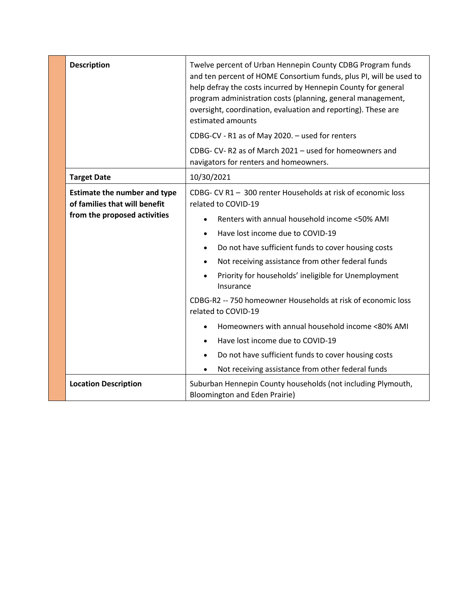| <b>Description</b>                                                                                                                  | Twelve percent of Urban Hennepin County CDBG Program funds<br>and ten percent of HOME Consortium funds, plus PI, will be used to<br>help defray the costs incurred by Hennepin County for general<br>program administration costs (planning, general management,<br>oversight, coordination, evaluation and reporting). These are<br>estimated amounts                                                                                                                                               |  |
|-------------------------------------------------------------------------------------------------------------------------------------|------------------------------------------------------------------------------------------------------------------------------------------------------------------------------------------------------------------------------------------------------------------------------------------------------------------------------------------------------------------------------------------------------------------------------------------------------------------------------------------------------|--|
|                                                                                                                                     | CDBG-CV - R1 as of May 2020. - used for renters                                                                                                                                                                                                                                                                                                                                                                                                                                                      |  |
|                                                                                                                                     | CDBG- CV-R2 as of March 2021 - used for homeowners and<br>navigators for renters and homeowners.                                                                                                                                                                                                                                                                                                                                                                                                     |  |
| <b>Target Date</b>                                                                                                                  | 10/30/2021                                                                                                                                                                                                                                                                                                                                                                                                                                                                                           |  |
| <b>Estimate the number and type</b><br>of families that will benefit<br>from the proposed activities                                | CDBG- CV R1 - 300 renter Households at risk of economic loss<br>related to COVID-19<br>Renters with annual household income <50% AMI<br>$\bullet$<br>Have lost income due to COVID-19<br>$\bullet$<br>Do not have sufficient funds to cover housing costs<br>$\bullet$<br>Not receiving assistance from other federal funds<br>$\bullet$<br>Priority for households' ineligible for Unemployment<br>Insurance<br>CDBG-R2 -- 750 homeowner Households at risk of economic loss<br>related to COVID-19 |  |
|                                                                                                                                     | Homeowners with annual household income <80% AMI                                                                                                                                                                                                                                                                                                                                                                                                                                                     |  |
|                                                                                                                                     | Have lost income due to COVID-19                                                                                                                                                                                                                                                                                                                                                                                                                                                                     |  |
|                                                                                                                                     | Do not have sufficient funds to cover housing costs<br>$\bullet$                                                                                                                                                                                                                                                                                                                                                                                                                                     |  |
|                                                                                                                                     | Not receiving assistance from other federal funds<br>٠                                                                                                                                                                                                                                                                                                                                                                                                                                               |  |
| <b>Location Description</b><br>Suburban Hennepin County households (not including Plymouth,<br><b>Bloomington and Eden Prairie)</b> |                                                                                                                                                                                                                                                                                                                                                                                                                                                                                                      |  |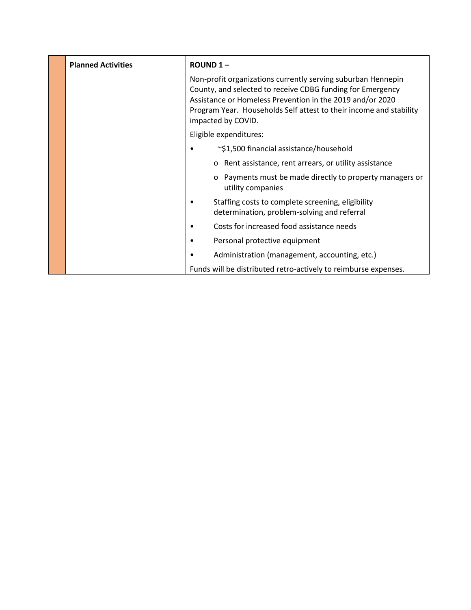| <b>Planned Activities</b> | <b>ROUND 1-</b>                                                                                                                                                                                                                                                                     |                                                                                                  |
|---------------------------|-------------------------------------------------------------------------------------------------------------------------------------------------------------------------------------------------------------------------------------------------------------------------------------|--------------------------------------------------------------------------------------------------|
|                           | Non-profit organizations currently serving suburban Hennepin<br>County, and selected to receive CDBG funding for Emergency<br>Assistance or Homeless Prevention in the 2019 and/or 2020<br>Program Year. Households Self attest to their income and stability<br>impacted by COVID. |                                                                                                  |
|                           |                                                                                                                                                                                                                                                                                     | Eligible expenditures:                                                                           |
|                           |                                                                                                                                                                                                                                                                                     | ~\$1,500 financial assistance/household                                                          |
|                           |                                                                                                                                                                                                                                                                                     | Rent assistance, rent arrears, or utility assistance<br>O                                        |
|                           |                                                                                                                                                                                                                                                                                     | Payments must be made directly to property managers or<br>$\mathbf{o}$<br>utility companies      |
|                           |                                                                                                                                                                                                                                                                                     | Staffing costs to complete screening, eligibility<br>determination, problem-solving and referral |
|                           |                                                                                                                                                                                                                                                                                     | Costs for increased food assistance needs                                                        |
|                           |                                                                                                                                                                                                                                                                                     | Personal protective equipment                                                                    |
|                           |                                                                                                                                                                                                                                                                                     | Administration (management, accounting, etc.)                                                    |
|                           |                                                                                                                                                                                                                                                                                     | Funds will be distributed retro-actively to reimburse expenses.                                  |